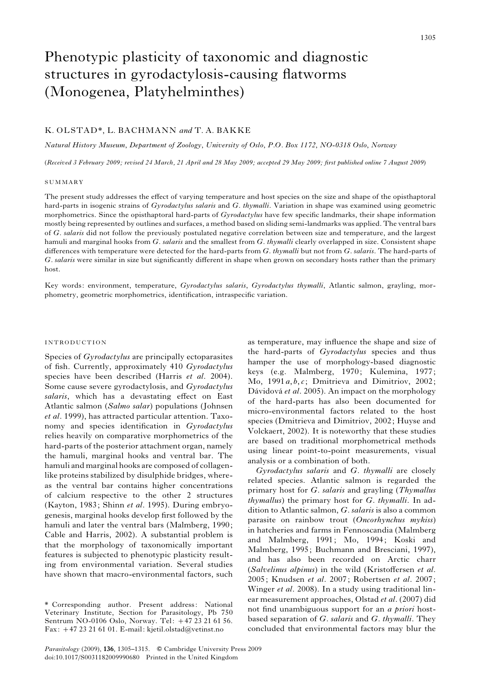# Phenotypic plasticity of taxonomic and diagnostic structures in gyrodactylosis-causing flatworms (Monogenea, Platyhelminthes)

# K. OLSTAD\*, L. BACHMANN and T. A. BAKKE

Natural History Museum, Department of Zoology, University of Oslo, P.O. Box 1172, NO-0318 Oslo, Norway

(Received 3 February 2009; revised 24 March, 21 April and 28 May 2009; accepted 29 May 2009; first published online 7 August 2009)

#### SUMMARY

The present study addresses the effect of varying temperature and host species on the size and shape of the opisthaptoral hard-parts in isogenic strains of Gyrodactylus salaris and G. thymalli. Variation in shape was examined using geometric morphometrics. Since the opisthaptoral hard-parts of Gyrodactylus have few specific landmarks, their shape information mostly being represented by outlines and surfaces, a method based on sliding semi-landmarks was applied. The ventral bars of G. salaris did not follow the previously postulated negative correlation between size and temperature, and the largest hamuli and marginal hooks from G. salaris and the smallest from G. thymalli clearly overlapped in size. Consistent shape differences with temperature were detected for the hard-parts from  $G$ , thymalli but not from  $G$ , salaris. The hard-parts of G. salaris were similar in size but significantly different in shape when grown on secondary hosts rather than the primary host.

Key words: environment, temperature, Gyrodactylus salaris, Gyrodactylus thymalli, Atlantic salmon, grayling, morphometry, geometric morphometrics, identification, intraspecific variation.

#### INTRODUCTION

Species of Gyrodactylus are principally ectoparasites of fish. Currently, approximately 410 Gyrodactylus species have been described (Harris et al. 2004). Some cause severe gyrodactylosis, and Gyrodactylus salaris, which has a devastating effect on East Atlantic salmon (Salmo salar) populations (Johnsen et al. 1999), has attracted particular attention. Taxonomy and species identification in Gyrodactylus relies heavily on comparative morphometrics of the hard-parts of the posterior attachment organ, namely the hamuli, marginal hooks and ventral bar. The hamuli and marginal hooks are composed of collagenlike proteins stabilized by disulphide bridges, whereas the ventral bar contains higher concentrations of calcium respective to the other 2 structures (Kayton, 1983; Shinn et al. 1995). During embryogenesis, marginal hooks develop first followed by the hamuli and later the ventral bars (Malmberg, 1990; Cable and Harris, 2002). A substantial problem is that the morphology of taxonomically important features is subjected to phenotypic plasticity resulting from environmental variation. Several studies have shown that macro-environmental factors, such as temperature, may influence the shape and size of the hard-parts of Gyrodactylus species and thus hamper the use of morphology-based diagnostic keys (e.g. Malmberg, 1970; Kulemina, 1977; Mo, 1991a, b, c; Dmitrieva and Dimitriov, 2002; Dávidová et al. 2005). An impact on the morphology of the hard-parts has also been documented for micro-environmental factors related to the host species (Dmitrieva and Dimitriov, 2002; Huyse and Volckaert, 2002). It is noteworthy that these studies are based on traditional morphometrical methods using linear point-to-point measurements, visual analysis or a combination of both.

Gyrodactylus salaris and G. thymalli are closely related species. Atlantic salmon is regarded the primary host for G. salaris and grayling (Thymallus  $thymallus$ ) the primary host for  $G$ .  $thymalli$ . In addition to Atlantic salmon, G. salaris is also a common parasite on rainbow trout (Oncorhynchus mykiss) in hatcheries and farms in Fennoscandia (Malmberg and Malmberg, 1991; Mo, 1994; Koski and Malmberg, 1995; Buchmann and Bresciani, 1997), and has also been recorded on Arctic charr (Salvelinus alpinus) in the wild (Kristoffersen et al. 2005; Knudsen et al. 2007; Robertsen et al. 2007; Winger et al. 2008). In a study using traditional linear measurement approaches, Olstad et al. (2007) did not find unambiguous support for an *a priori* hostbased separation of G. salaris and G. thymalli. They concluded that environmental factors may blur the

<sup>\*</sup> Corresponding author. Present address: National Veterinary Institute, Section for Parasitology, Pb 750 Sentrum NO-0106 Oslo, Norway. Tel: +47 23 21 61 56. Fax: +47 23 21 61 01. E-mail: kjetil.olstad@vetinst.no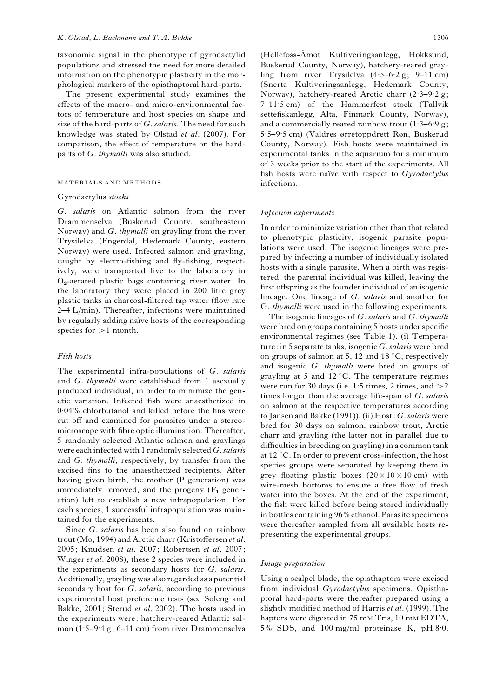taxonomic signal in the phenotype of gyrodactylid populations and stressed the need for more detailed information on the phenotypic plasticity in the morphological markers of the opisthaptoral hard-parts.

The present experimental study examines the effects of the macro- and micro-environmental factors of temperature and host species on shape and size of the hard-parts of  $G.$  salaris. The need for such knowledge was stated by Olstad et al. (2007). For comparison, the effect of temperature on the hardparts of G. thymalli was also studied.

#### MATERIALS AND METHODS

#### Gyrodactylus stocks

G. salaris on Atlantic salmon from the river Drammenselva (Buskerud County, southeastern Norway) and G. thymalli on grayling from the river Trysilelva (Engerdal, Hedemark County, eastern Norway) were used. Infected salmon and grayling, caught by electro-fishing and fly-fishing, respectively, were transported live to the laboratory in  $O<sub>2</sub>$ -aerated plastic bags containing river water. In the laboratory they were placed in 200 litre grey plastic tanks in charcoal-filtered tap water (flow rate 2–4 L/min). Thereafter, infections were maintained by regularly adding naïve hosts of the corresponding species for  $>1$  month.

## Fish hosts

The experimental infra-populations of G. salaris and G. thymalli were established from 1 asexually produced individual, in order to minimize the genetic variation. Infected fish were anaesthetized in 0. 04% chlorbutanol and killed before the fins were cut off and examined for parasites under a stereomicroscope with fibre optic illumination. Thereafter, 5 randomly selected Atlantic salmon and graylings were each infected with 1 randomly selected G. salaris and G. thymalli, respectively, by transfer from the excised fins to the anaesthetized recipients. After having given birth, the mother (P generation) was immediately removed, and the progeny  $(F_1 \text{ gener-}$ ation) left to establish a new infrapopulation. For each species, 1 successful infrapopulation was maintained for the experiments.

Since G. salaris has been also found on rainbow trout (Mo, 1994) and Arctic charr (Kristoffersen et al. 2005; Knudsen et al. 2007; Robertsen et al. 2007; Winger et al. 2008), these 2 species were included in the experiments as secondary hosts for G. salaris. Additionally, grayling was also regarded as a potential secondary host for G. salaris, according to previous experimental host preference tests (see Soleng and Bakke, 2001; Sterud et al. 2002). The hosts used in the experiments were: hatchery-reared Atlantic salmon (1. 5–9.4 g; 6–11 cm) from river Drammenselva

(Hellefoss-Åmot Kultiveringsanlegg, Hokksund, Buskerud County, Norway), hatchery-reared grayling from river Trysilelva  $(4.5-6.2 \text{ g}; 9-11 \text{ cm})$ (Snerta Kultiveringsanlegg, Hedemark County, Norway), hatchery-reared Arctic charr (2. 3–9. 2 g; 7–11. 5 cm) of the Hammerfest stock (Tallvik settefiskanlegg, Alta, Finmark County, Norway), and a commercially reared rainbow trout  $(1.3-6.9 g)$ ; 5. 5–9. 5 cm) (Valdres ørretoppdrett Røn, Buskerud County, Norway). Fish hosts were maintained in experimental tanks in the aquarium for a minimum of 3 weeks prior to the start of the experiments. All fish hosts were naïve with respect to Gyrodactylus infections.

#### Infection experiments

In order to minimize variation other than that related to phenotypic plasticity, isogenic parasite populations were used. The isogenic lineages were prepared by infecting a number of individually isolated hosts with a single parasite. When a birth was registered, the parental individual was killed, leaving the first offspring as the founder individual of an isogenic lineage. One lineage of G. salaris and another for G. thymalli were used in the following experiments.

The isogenic lineages of G. salaris and G. thymalli were bred on groups containing 5 hosts under specific environmental regimes (see Table 1). (i) Temperature: in 5 separate tanks, isogenic G. salaris were bred on groups of salmon at 5, 12 and 18  $\mathrm{^{\circ}C}$ , respectively and isogenic G. thymalli were bred on groups of grayling at 5 and 12  $\degree$ C. The temperature regimes were run for 30 days (i.e. 1.5 times, 2 times, and  $>$  2 times longer than the average life-span of G. salaris on salmon at the respective temperatures according to Jansen and Bakke (1991)). (ii)  $Host: G.$  salaris were bred for 30 days on salmon, rainbow trout, Arctic charr and grayling (the latter not in parallel due to difficulties in breeding on grayling) in a common tank at  $12 \degree C$ . In order to prevent cross-infection, the host species groups were separated by keeping them in grey floating plastic boxes  $(20 \times 10 \times 10 \text{ cm})$  with wire-mesh bottoms to ensure a free flow of fresh water into the boxes. At the end of the experiment, the fish were killed before being stored individually in bottles containing 96% ethanol. Parasite specimens were thereafter sampled from all available hosts representing the experimental groups.

#### Image preparation

Using a scalpel blade, the opisthaptors were excised from individual Gyrodactylus specimens. Opisthaptoral hard-parts were thereafter prepared using a slightly modified method of Harris et al. (1999). The haptors were digested in 75 mm Tris, 10 mm EDTA, 5% SDS, and 100 mg/ml proteinase K, pH 8. 0.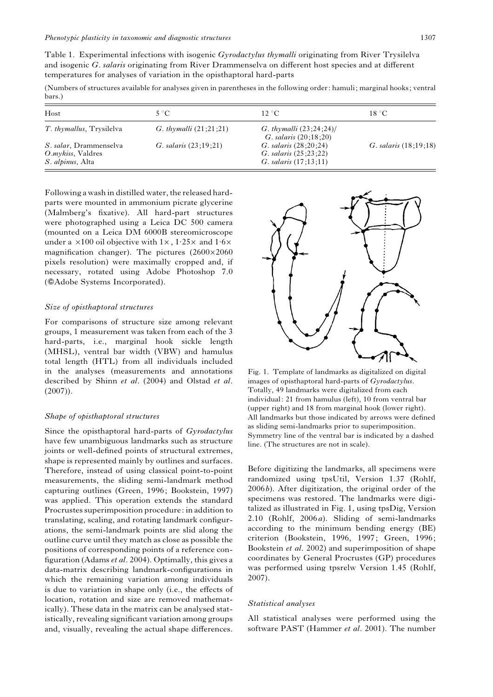Table 1. Experimental infections with isogenic Gyrodactylus thymalli originating from River Trysilelva and isogenic G. salaris originating from River Drammenselva on different host species and at different temperatures for analyses of variation in the opisthaptoral hard-parts

(Numbers of structures available for analyses given in parentheses in the following order: hamuli; marginal hooks; ventral bars.)

| Host                                                                                                       | 5 °C. | $12 \text{ °C}$                                                                     | $18\text{ °C}$            |  |
|------------------------------------------------------------------------------------------------------------|-------|-------------------------------------------------------------------------------------|---------------------------|--|
| <i>T. thymallus</i> , Trysilelva<br>G. thymalli $(21;21;21)$                                               |       | G. thymalli $(23;24;24)$<br>G. salaris $(20:18:20)$                                 |                           |  |
| G. salaris $(23;19;21)$<br><i>S. salar</i> , Drammenselva<br>O.mykiss, Valdres<br><i>S. alpinus</i> , Alta |       | G. salaris $(28, 20, 24)$<br>G. salaris $(25; 23; 22)$<br>G. salaris $(17, 13, 11)$ | G. salaris $(18, 19, 18)$ |  |

Following a wash in distilled water, the released hardparts were mounted in ammonium picrate glycerine (Malmberg's fixative). All hard-part structures were photographed using a Leica DC 500 camera (mounted on a Leica DM 6000B stereomicroscope under a  $\times$ 100 oil objective with 1 $\times$ , 1.25 $\times$  and 1.6 $\times$ magnification changer). The pictures  $(2600 \times 2060$ pixels resolution) were maximally cropped and, if necessary, rotated using Adobe Photoshop 7.0 (©Adobe Systems Incorporated).

## Size of opisthaptoral structures

For comparisons of structure size among relevant groups, 1 measurement was taken from each of the 3 hard-parts, i.e., marginal hook sickle length (MHSL), ventral bar width (VBW) and hamulus total length (HTL) from all individuals included in the analyses (measurements and annotations described by Shinn et al. (2004) and Olstad et al. (2007)).

## Shape of opisthaptoral structures

Since the opisthaptoral hard-parts of Gyrodactylus have few unambiguous landmarks such as structure joints or well-defined points of structural extremes, shape is represented mainly by outlines and surfaces. Therefore, instead of using classical point-to-point measurements, the sliding semi-landmark method capturing outlines (Green, 1996; Bookstein, 1997) was applied. This operation extends the standard Procrustes superimposition procedure: in addition to translating, scaling, and rotating landmark configurations, the semi-landmark points are slid along the outline curve until they match as close as possible the positions of corresponding points of a reference configuration (Adams et al. 2004). Optimally, this gives a data-matrix describing landmark-configurations in which the remaining variation among individuals is due to variation in shape only (i.e., the effects of location, rotation and size are removed mathematically). These data in the matrix can be analysed statistically, revealing significant variation among groups and, visually, revealing the actual shape differences.



Fig. 1. Template of landmarks as digitalized on digital images of opisthaptoral hard-parts of Gyrodactylus. Totally, 49 landmarks were digitalized from each individual: 21 from hamulus (left), 10 from ventral bar (upper right) and 18 from marginal hook (lower right). All landmarks but those indicated by arrows were defined as sliding semi-landmarks prior to superimposition. Symmetry line of the ventral bar is indicated by a dashed line. (The structures are not in scale).

Before digitizing the landmarks, all specimens were randomized using tpsUtil, Version 1.37 (Rohlf, 2006b). After digitization, the original order of the specimens was restored. The landmarks were digitalized as illustrated in Fig. 1, using tpsDig, Version 2.10 (Rohlf,  $2006a$ ). Sliding of semi-landmarks according to the minimum bending energy (BE) criterion (Bookstein, 1996, 1997; Green, 1996; Bookstein et al. 2002) and superimposition of shape coordinates by General Procrustes (GP) procedures was performed using tpsrelw Version 1.45 (Rohlf, 2007).

# Statistical analyses

All statistical analyses were performed using the software PAST (Hammer et al. 2001). The number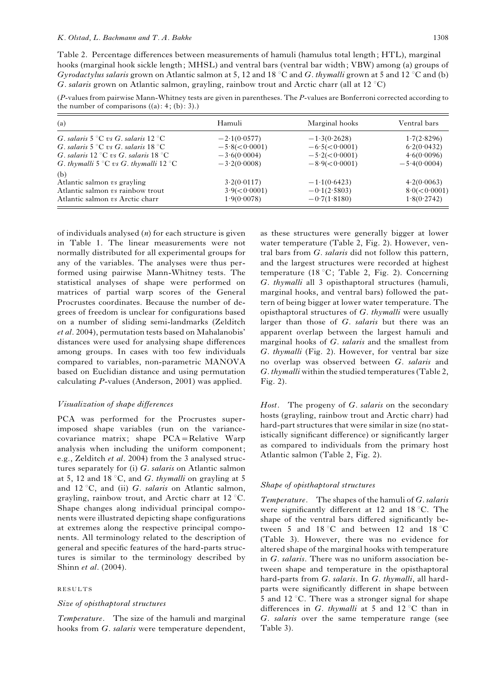Table 2. Percentage differences between measurements of hamuli (hamulus total length; HTL), marginal hooks (marginal hook sickle length; MHSL) and ventral bars (ventral bar width; VBW) among (a) groups of Gyrodactylus salaris grown on Atlantic salmon at 5, 12 and 18 °C and G. thymalli grown at 5 and 12 °C and (b) G. salaris grown on Atlantic salmon, grayling, rainbow trout and Arctic charr (all at 12 °C)

 $(P$ -values from pairwise Mann-Whitney tests are given in parentheses. The  $P$ -values are Bonferroni corrected according to the number of comparisons  $((a): 4; (b): 3)$ .)

| (a)                                               | Hamuli          | Marginal hooks  | Ventral bars   |
|---------------------------------------------------|-----------------|-----------------|----------------|
| G. salaris 5 °C vs G. salaris 12 °C               | $-2.1(0.0577)$  | $-1.3(0.2628)$  | 1.7(2.8296)    |
| G. salaris 5 °C vs G. salaris 18 °C               | $-5.8(<0.0001)$ | $-6.5(<0.0001)$ | 6.2(0.0432)    |
| G. salaris 12 °C vs G. salaris 18 °C              | $-3.6(0.0004)$  | $-5.2(<0.0001)$ | 4.6(0.0096)    |
| G. thymalli 5 $\rm{C}$ vs G. thymalli 12 $\rm{C}$ | $-3.2(0.0008)$  | $-8.9(<0.0001)$ | $-5.4(0.0004)$ |
| (b)                                               |                 |                 |                |
| Atlantic salmon vs grayling                       | 3.2(0.0117)     | $-1.1(0.6423)$  | 4.2(0.0063)    |
| Atlantic salmon vs rainbow trout                  | 3.9(< 0.0001)   | $-0.1(2.5803)$  | 8.0(< 0.0001)  |
| Atlantic salmon vs Arctic charr                   | 1.9(0.0078)     | $-0.7(1.8180)$  | 1.8(0.2742)    |

of individuals analysed  $(n)$  for each structure is given in Table 1. The linear measurements were not normally distributed for all experimental groups for any of the variables. The analyses were thus performed using pairwise Mann-Whitney tests. The statistical analyses of shape were performed on matrices of partial warp scores of the General Procrustes coordinates. Because the number of degrees of freedom is unclear for configurations based on a number of sliding semi-landmarks (Zelditch et al. 2004), permutation tests based on Mahalanobis' distances were used for analysing shape differences among groups. In cases with too few individuals compared to variables, non-parametric MANOVA based on Euclidian distance and using permutation calculating P-values (Anderson, 2001) was applied.

## Visualization of shape differences

PCA was performed for the Procrustes superimposed shape variables (run on the variancecovariance matrix; shape PCA=Relative Warp analysis when including the uniform component; e.g., Zelditch et al. 2004) from the 3 analysed structures separately for (i) G. salaris on Atlantic salmon at 5, 12 and 18 °C, and G. thymalli on grayling at 5 and  $12\textdegree C$ , and (ii) G. salaris on Atlantic salmon, grayling, rainbow trout, and Arctic charr at  $12 \degree C$ . Shape changes along individual principal components were illustrated depicting shape configurations at extremes along the respective principal components. All terminology related to the description of general and specific features of the hard-parts structures is similar to the terminology described by Shinn et al. (2004).

## RESULTS

## Size of opisthaptoral structures

Temperature. The size of the hamuli and marginal hooks from G. salaris were temperature dependent,

as these structures were generally bigger at lower water temperature (Table 2, Fig. 2). However, ventral bars from G. salaris did not follow this pattern, and the largest structures were recorded at highest temperature (18 °C; Table 2, Fig. 2). Concerning G. thymalli all 3 opisthaptoral structures (hamuli, marginal hooks, and ventral bars) followed the pattern of being bigger at lower water temperature. The opisthaptoral structures of G. thymalli were usually larger than those of G. salaris but there was an apparent overlap between the largest hamuli and marginal hooks of G. salaris and the smallest from G. thymalli (Fig. 2). However, for ventral bar size no overlap was observed between G. salaris and G. thymalli within the studied temperatures (Table 2, Fig. 2).

Host. The progeny of G. salaris on the secondary hosts (grayling, rainbow trout and Arctic charr) had hard-part structures that were similar in size (no statistically significant difference) or significantly larger as compared to individuals from the primary host Atlantic salmon (Table 2, Fig. 2).

## Shape of opisthaptoral structures

Temperature. The shapes of the hamuli of  $G$ , salaris were significantly different at 12 and  $18\,^{\circ}$ C. The shape of the ventral bars differed significantly between 5 and 18 °C and between 12 and 18 °C (Table 3). However, there was no evidence for altered shape of the marginal hooks with temperature in G. salaris. There was no uniform association between shape and temperature in the opisthaptoral hard-parts from G. salaris. In G. thymalli, all hardparts were significantly different in shape between 5 and 12  $\degree$ C. There was a stronger signal for shape differences in G. thymalli at 5 and  $12^{\circ}$ C than in G. salaris over the same temperature range (see Table 3).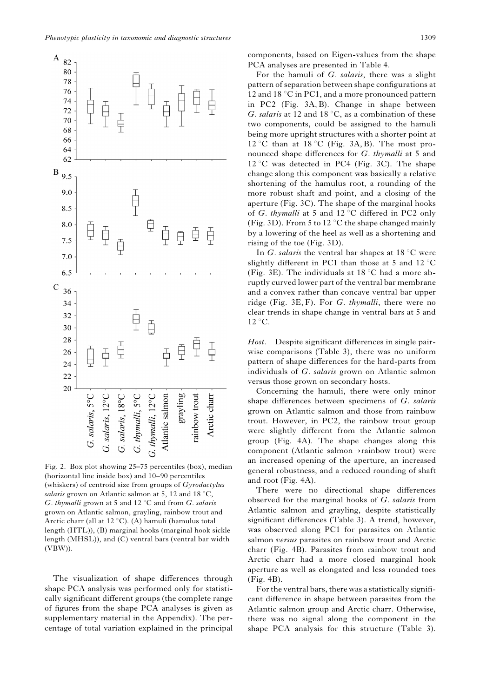

Fig. 2. Box plot showing 25–75 percentiles (box), median (horizontal line inside box) and 10–90 percentiles (whiskers) of centroid size from groups of Gyrodactylus salaris grown on Atlantic salmon at 5, 12 and 18  $^{\circ}C$ , G. thymalli grown at 5 and 12  $\mathrm{C}$  and from G. salaris grown on Atlantic salmon, grayling, rainbow trout and Arctic charr (all at  $12^{\circ}$ C). (A) hamuli (hamulus total length (HTL)), (B) marginal hooks (marginal hook sickle length (MHSL)), and (C) ventral bars (ventral bar width (VBW)).

The visualization of shape differences through shape PCA analysis was performed only for statistically significant different groups (the complete range of figures from the shape PCA analyses is given as supplementary material in the Appendix). The percentage of total variation explained in the principal

components, based on Eigen-values from the shape PCA analyses are presented in Table 4.

For the hamuli of G. salaris, there was a slight pattern of separation between shape configurations at 12 and 18  $\degree$ C in PC1, and a more pronounced pattern in PC2 (Fig. 3A, B). Change in shape between G. salaris at 12 and 18  $^{\circ}$ C, as a combination of these two components, could be assigned to the hamuli being more upright structures with a shorter point at 12 °C than at 18 °C (Fig. 3A, B). The most pronounced shape differences for G. thymalli at 5 and 12 °C was detected in PC4 (Fig. 3C). The shape change along this component was basically a relative shortening of the hamulus root, a rounding of the more robust shaft and point, and a closing of the aperture (Fig. 3C). The shape of the marginal hooks of G. thymalli at 5 and 12  $\mathrm{C}$  differed in PC2 only (Fig. 3D). From 5 to 12  $\mathrm{^{\circ}C}$  the shape changed mainly by a lowering of the heel as well as a shortening and rising of the toe (Fig. 3D).

In G. salaris the ventral bar shapes at 18  $^{\circ}$ C were slightly different in PC1 than those at 5 and 12  $^{\circ}$ C (Fig. 3E). The individuals at  $18\textdegree\text{C}$  had a more abruptly curved lower part of the ventral bar membrane and a convex rather than concave ventral bar upper ridge (Fig. 3E, F). For G. thymalli, there were no clear trends in shape change in ventral bars at 5 and  $12 \text{ °C}.$ 

Host. Despite significant differences in single pairwise comparisons (Table 3), there was no uniform pattern of shape differences for the hard-parts from individuals of G. salaris grown on Atlantic salmon versus those grown on secondary hosts.

Concerning the hamuli, there were only minor shape differences between specimens of G. salaris grown on Atlantic salmon and those from rainbow trout. However, in PC2, the rainbow trout group were slightly different from the Atlantic salmon group (Fig. 4A). The shape changes along this component (Atlantic salmon $\rightarrow$ rainbow trout) were an increased opening of the aperture, an increased general robustness, and a reduced rounding of shaft and root (Fig. 4A).

There were no directional shape differences observed for the marginal hooks of G. salaris from Atlantic salmon and grayling, despite statistically significant differences (Table 3). A trend, however, was observed along PC1 for parasites on Atlantic salmon versus parasites on rainbow trout and Arctic charr (Fig. 4B). Parasites from rainbow trout and Arctic charr had a more closed marginal hook aperture as well as elongated and less rounded toes (Fig. 4B).

For the ventral bars, there was a statistically significant difference in shape between parasites from the Atlantic salmon group and Arctic charr. Otherwise, there was no signal along the component in the shape PCA analysis for this structure (Table 3).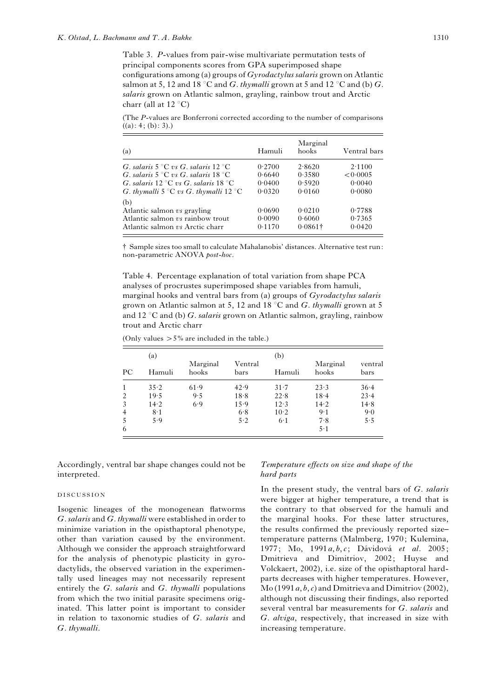Table 3. P-values from pair-wise multivariate permutation tests of principal components scores from GPA superimposed shape configurations among (a) groups of Gyrodactylus salaris grown on Atlantic salmon at 5, 12 and 18 °C and G. thymalli grown at 5 and 12 °C and (b) G. salaris grown on Atlantic salmon, grayling, rainbow trout and Arctic charr (all at  $12^{\circ}$ C)

(The P-values are Bonferroni corrected according to the number of comparisons  $((a): 4; (b): 3).)$ 

| (a)                                   | Hamuli | Marginal<br>hooks | Ventral bars |
|---------------------------------------|--------|-------------------|--------------|
| G. salaris 5 °C vs G. salaris 12 °C   | 0.2700 | 2.8620            | 2.1100       |
| G. salaris 5 °C vs G. salaris 18 °C   | 0.6640 | 0.3580            | < 0.0005     |
| G. salaris 12 °C vs G. salaris 18 °C  | 0.0400 | 0.5920            | 0.0040       |
| G. thymalli 5 °C vs G. thymalli 12 °C | 0.0320 | 0.0160            | 0.0080       |
| (b)                                   |        |                   |              |
| Atlantic salmon vs grayling           | 0.0690 | 0.0210            | 0.7788       |
| Atlantic salmon vs rainbow trout      | 0.0090 | 0.6060            | 0.7365       |
| Atlantic salmon vs Arctic charr       | 0.1170 | $0.0861\dagger$   | 0.0420       |

# Sample sizes too small to calculate Mahalanobis' distances. Alternative test run: non-parametric ANOVA post-hoc.

Table 4. Percentage explanation of total variation from shape PCA analyses of procrustes superimposed shape variables from hamuli, marginal hooks and ventral bars from (a) groups of Gyrodactylus salaris grown on Atlantic salmon at 5, 12 and 18  $^{\circ}$ C and *G. thymalli* grown at 5 and 12 °C and (b) G, salaris grown on Atlantic salmon, gravling, rainbow trout and Arctic charr

(Only values  $> 5\%$  are included in the table.)

|                | (a)    |                   |                 | (b)    |                   |                 |
|----------------|--------|-------------------|-----------------|--------|-------------------|-----------------|
| PC.            | Hamuli | Marginal<br>hooks | Ventral<br>bars | Hamuli | Marginal<br>hooks | ventral<br>bars |
| 1              | 35.2   | 61.9              | 42.9            | 31.7   | 23.3              | $36 - 4$        |
| 2              | 19.5   | 9.5               | 18.8            | 22.8   | 18.4              | 23.4            |
| 3              | 14.2   | 6.9               | 15.9            | 12.3   | 14.2              | 14.8            |
| $\overline{4}$ | $8-1$  |                   | 6.8             | $10-2$ | $9-1$             | 9.0             |
| 5              | 5.9    |                   | 5.2             | $6-1$  | 7.8               | 5.5             |
| 6              |        |                   |                 |        | $5-1$             |                 |

Accordingly, ventral bar shape changes could not be interpreted.

# DISCUSSION

Isogenic lineages of the monogenean flatworms G. salaris and G. thymalli were established in order to minimize variation in the opisthaptoral phenotype, other than variation caused by the environment. Although we consider the approach straightforward for the analysis of phenotypic plasticity in gyrodactylids, the observed variation in the experimentally used lineages may not necessarily represent entirely the G. salaris and G. thymalli populations from which the two initial parasite specimens originated. This latter point is important to consider in relation to taxonomic studies of G. salaris and G. thymalli.

# Temperature effects on size and shape of the hard parts

In the present study, the ventral bars of G. salaris were bigger at higher temperature, a trend that is the contrary to that observed for the hamuli and the marginal hooks. For these latter structures, the results confirmed the previously reported size– temperature patterns (Malmberg, 1970; Kulemina, 1977; Mo, 1991a, b, c; Dávidová et al. 2005; Dmitrieva and Dimitriov, 2002; Huyse and Volckaert, 2002), i.e. size of the opisthaptoral hardparts decreases with higher temperatures. However,  $Mo(1991a, b, c)$  and Dmitrieva and Dimitriov (2002), although not discussing their findings, also reported several ventral bar measurements for G. salaris and G. alviga, respectively, that increased in size with increasing temperature.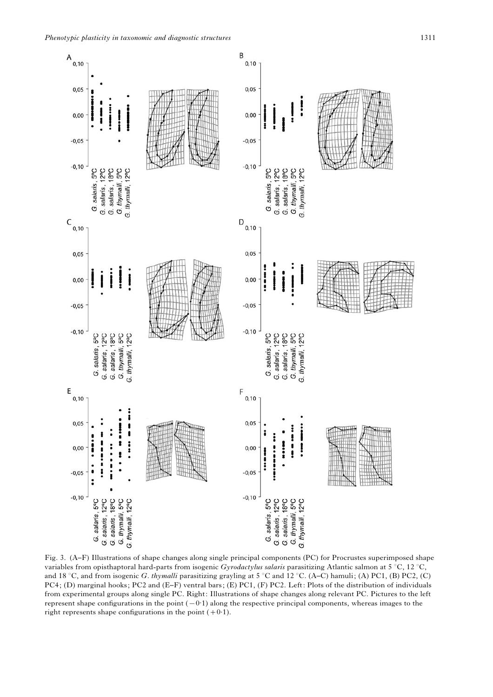

Fig. 3. (A–F) Illustrations of shape changes along single principal components (PC) for Procrustes superimposed shape variables from opisthaptoral hard-parts from isogenic *Gyrodactylus salaris* parasitizing Atlantic salmon at 5 °C, 12 °C, and 18 °C, and from isogenic G. thymalli parasitizing grayling at 5 °C and 12 °C. (A–C) hamuli; (A) PC1, (B) PC2, (C) PC4; (D) marginal hooks; PC2 and (E–F) ventral bars; (E) PC1, (F) PC2. Left: Plots of the distribution of individuals from experimental groups along single PC. Right: Illustrations of shape changes along relevant PC. Pictures to the left represent shape configurations in the point  $(-0.1)$  along the respective principal components, whereas images to the right represents shape configurations in the point  $(+0.1)$ .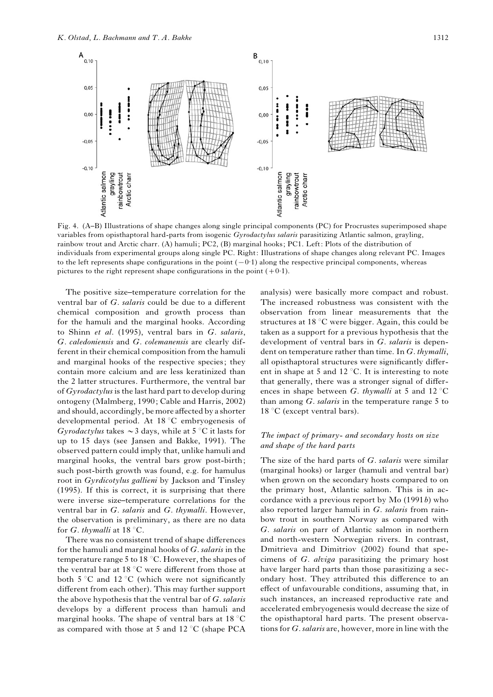

Fig. 4. (A–B) Illustrations of shape changes along single principal components (PC) for Procrustes superimposed shape variables from opisthaptoral hard-parts from isogenic Gyrodactylus salaris parasitizing Atlantic salmon, grayling, rainbow trout and Arctic charr. (A) hamuli; PC2, (B) marginal hooks; PC1. Left: Plots of the distribution of individuals from experimental groups along single PC. Right: Illustrations of shape changes along relevant PC. Images to the left represents shape configurations in the point  $(-0.1)$  along the respective principal components, whereas pictures to the right represent shape configurations in the point  $(+0.1)$ .

The positive size–temperature correlation for the ventral bar of G. salaris could be due to a different chemical composition and growth process than for the hamuli and the marginal hooks. According to Shinn et al. (1995), ventral bars in G. salaris, G. caledoniensis and G. colemanensis are clearly different in their chemical composition from the hamuli and marginal hooks of the respective species; they contain more calcium and are less keratinized than the 2 latter structures. Furthermore, the ventral bar of Gyrodactylus is the last hard part to develop during ontogeny (Malmberg, 1990; Cable and Harris, 2002) and should, accordingly, be more affected by a shorter developmental period. At 18 °C embryogenesis of Gyrodactylus takes  $\sim$  3 days, while at 5 °C it lasts for up to 15 days (see Jansen and Bakke, 1991). The observed pattern could imply that, unlike hamuli and marginal hooks, the ventral bars grow post-birth; such post-birth growth was found, e.g. for hamulus root in Gyrdicotylus gallieni by Jackson and Tinsley (1995). If this is correct, it is surprising that there were inverse size–temperature correlations for the ventral bar in G. salaris and G. thymalli. However, the observation is preliminary, as there are no data for G. thymalli at  $18^{\circ}$ C.

There was no consistent trend of shape differences for the hamuli and marginal hooks of G. salaris in the temperature range 5 to 18  $^{\circ}$ C. However, the shapes of the ventral bar at 18  $\mathrm{C}$  were different from those at both  $5^{\circ}$ C and  $12^{\circ}$ C (which were not significantly different from each other). This may further support the above hypothesis that the ventral bar of G. salaris develops by a different process than hamuli and marginal hooks. The shape of ventral bars at 18 $\mathrm{^{\circ}C}$ as compared with those at 5 and  $12 \degree C$  (shape PCA

analysis) were basically more compact and robust. The increased robustness was consistent with the observation from linear measurements that the structures at  $18 \degree C$  were bigger. Again, this could be taken as a support for a previous hypothesis that the development of ventral bars in G. salaris is dependent on temperature rather than time. In G. thymalli, all opisthaptoral structures were significantly different in shape at 5 and  $12 \degree C$ . It is interesting to note that generally, there was a stronger signal of differences in shape between G. thymalli at 5 and 12  $^{\circ}$ C than among  $G.$  salaris in the temperature range  $5$  to 18  $\mathrm{C}$  (except ventral bars).

# The impact of primary- and secondary hosts on size and shape of the hard parts

The size of the hard parts of G. salaris were similar (marginal hooks) or larger (hamuli and ventral bar) when grown on the secondary hosts compared to on the primary host, Atlantic salmon. This is in accordance with a previous report by  $M_0$  (1991b) who also reported larger hamuli in G. salaris from rainbow trout in southern Norway as compared with G. salaris on parr of Atlantic salmon in northern and north-western Norwegian rivers. In contrast, Dmitrieva and Dimitriov (2002) found that specimens of G. alviga parasitizing the primary host have larger hard parts than those parasitizing a secondary host. They attributed this difference to an effect of unfavourable conditions, assuming that, in such instances, an increased reproductive rate and accelerated embryogenesis would decrease the size of the opisthaptoral hard parts. The present observations for G. salaris are, however, more in line with the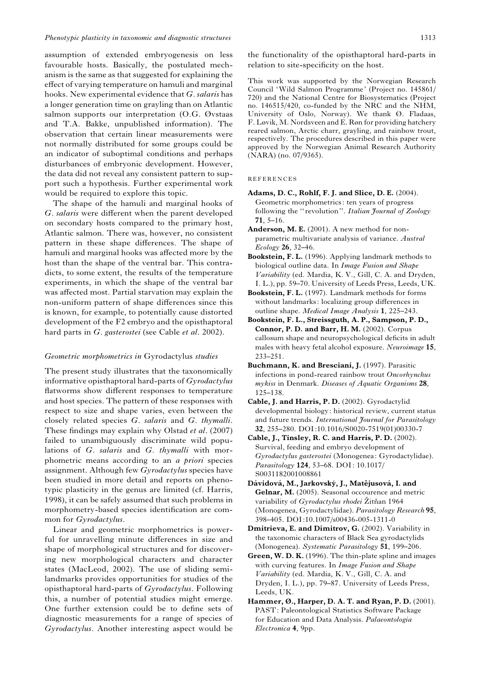assumption of extended embryogenesis on less favourable hosts. Basically, the postulated mechanism is the same as that suggested for explaining the effect of varying temperature on hamuli and marginal hooks. New experimental evidence that G. salaris has a longer generation time on grayling than on Atlantic salmon supports our interpretation (O.G. Øvstaas and T.A. Bakke, unpublished information). The observation that certain linear measurements were not normally distributed for some groups could be an indicator of suboptimal conditions and perhaps disturbances of embryonic development. However, the data did not reveal any consistent pattern to support such a hypothesis. Further experimental work would be required to explore this topic.

The shape of the hamuli and marginal hooks of G. salaris were different when the parent developed on secondary hosts compared to the primary host, Atlantic salmon. There was, however, no consistent pattern in these shape differences. The shape of hamuli and marginal hooks was affected more by the host than the shape of the ventral bar. This contradicts, to some extent, the results of the temperature experiments, in which the shape of the ventral bar was affected most. Partial starvation may explain the non-uniform pattern of shape differences since this is known, for example, to potentially cause distorted development of the F2 embryo and the opisthaptoral hard parts in G. gasterostei (see Cable et al. 2002).

## Geometric morphometrics in Gyrodactylus studies

The present study illustrates that the taxonomically informative opisthaptoral hard-parts of Gyrodactylus flatworms show different responses to temperature and host species. The pattern of these responses with respect to size and shape varies, even between the closely related species G. salaris and G. thymalli. These findings may explain why Olstad et al. (2007) failed to unambiguously discriminate wild populations of G. salaris and G. thymalli with morphometric means according to an a priori species assignment. Although few *Gyrodactylus* species have been studied in more detail and reports on phenotypic plasticity in the genus are limited (cf. Harris, 1998), it can be safely assumed that such problems in morphometry-based species identification are common for Gyrodactylus.

Linear and geometric morphometrics is powerful for unravelling minute differences in size and shape of morphological structures and for discovering new morphological characters and character states (MacLeod, 2002). The use of sliding semilandmarks provides opportunities for studies of the opisthaptoral hard-parts of Gyrodactylus. Following this, a number of potential studies might emerge. One further extension could be to define sets of diagnostic measurements for a range of species of Gyrodactylus. Another interesting aspect would be

the functionality of the opisthaptoral hard-parts in relation to site-specificity on the host.

This work was supported by the Norwegian Research Council 'Wild Salmon Programme' (Project no. 145861/ 720) and the National Centre for Biosystematics (Project no. 146515/420, co-funded by the NRC and the NHM, University of Oslo, Norway). We thank Ø. Fladaas, F. Løvik, M. Nordsveen and E. Røn for providing hatchery reared salmon, Arctic charr, grayling, and rainbow trout, respectively. The procedures described in this paper were approved by the Norwegian Animal Research Authority (NARA) (no. 07/9365).

#### REFERENCES

- Adams, D. C., Rohlf, F. J. and Slice, D. E. (2004). Geometric morphometrics: ten years of progress following the "revolution". Italian Journal of Zoology 71, 5–16.
- Anderson, M. E. (2001). A new method for nonparametric multivariate analysis of variance. Austral Ecology 26, 32–46.
- Bookstein, F. L. (1996). Applying landmark methods to biological outline data. In Image Fusion and Shape Variability (ed. Mardia, K. V., Gill, C. A. and Dryden, I. L.), pp. 59–70. University of Leeds Press, Leeds, UK.
- Bookstein, F. L. (1997). Landmark methods for forms without landmarks: localizing group differences in outline shape. Medical Image Analysis 1, 225–243.
- Bookstein, F. L., Streissguth, A. P., Sampson, P. D., Connor, P. D. and Barr, H. M. (2002). Corpus callosum shape and neuropsychological deficits in adult males with heavy fetal alcohol exposure. Neuroimage 15, 233–251.
- Buchmann, K. and Bresciani, J. (1997). Parasitic infections in pond-reared rainbow trout Oncorhynchus mykiss in Denmark. Diseases of Aquatic Organisms 28, 125–138.
- Cable, J. and Harris, P. D. (2002). Gyrodactylid developmental biology: historical review, current status and future trends. International Journal for Parasitology 32, 255–280. DOI:10.1016/S0020-7519(01)00330-7
- Cable, J., Tinsley, R. C. and Harris, P. D. (2002). Survival, feeding and embryo development of Gyrodactylus gasterostei (Monogenea: Gyrodactylidae). Parasitology 124, 53–68. DOI: 10.1017/ S0031182001008861
- Dávidová, M., Jarkovský, J., Matějusová, I. and Gelnar, M. (2005). Seasonal occourence and metric variability of Gyrodactylus rhodei Žitňan 1964 (Monogenea, Gyrodactylidae). Parasitology Research 95, 398–405. DOI:10.1007/s00436-005-1311-0
- Dmitrieva, E. and Dimitrov, G. (2002). Variability in the taxonomic characters of Black Sea gyrodactylids (Monogenea). Systematic Parasitology 51, 199–206.
- Green, W. D. K. (1996). The thin-plate spline and images with curving features. In Image Fusion and Shape Variability (ed. Mardia, K. V., Gill, C. A. and Dryden, I. L.), pp. 79–87. University of Leeds Press, Leeds, UK.
- Hammer, Ø., Harper, D. A. T. and Ryan, P. D. (2001). PAST: Paleontological Statistics Software Package for Education and Data Analysis. Palaeontologia Electronica 4, 9pp.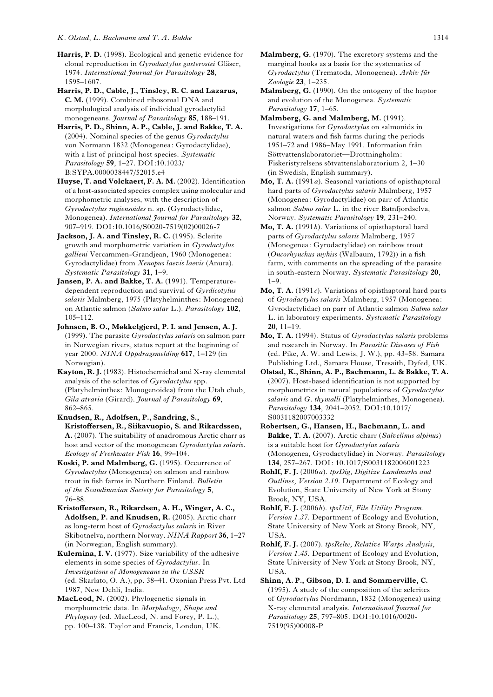Harris, P. D. (1998). Ecological and genetic evidence for clonal reproduction in Gyrodactylus gasterostei Gläser, 1974. International Journal for Parasitology 28, 1595–1607.

Harris, P. D., Cable, J., Tinsley, R. C. and Lazarus, C. M. (1999). Combined ribosomal DNA and morphological analysis of individual gyrodactylid monogeneans. Journal of Parasitology 85, 188-191.

Harris, P. D., Shinn, A. P., Cable, J. and Bakke, T. A. (2004). Nominal species of the genus Gyrodactylus von Normann 1832 (Monogenea: Gyrodactylidae), with a list of principal host species. Systematic Parasitology 59, 1–27. DOI:10.1023/ B:SYPA.0000038447/52015.e4

Huyse, T. and Volckaert, F. A. M. (2002). Identification of a host-associated species complex using molecular and morphometric analyses, with the description of Gyrodactylus rugiensoides n. sp. (Gyrodactylidae, Monogenea). International Journal for Parasitology 32, 907–919. DOI:10.1016/S0020-7519(02)00026-7

Jackson, J. A. and Tinsley, R. C. (1995). Sclerite growth and morphometric variation in Gyrodactylus gallieni Vercammen-Grandjean, 1960 (Monogenea: Gyrodactylidae) from Xenopus laevis laevis (Anura). Systematic Parasitology 31, 1–9.

Jansen, P. A. and Bakke, T. A. (1991). Temperaturedependent reproduction and survival of Gyrdicotylus salaris Malmberg, 1975 (Platyhelminthes: Monogenea) on Atlantic salmon (Salmo salar L.). Parasitology 102, 105–112.

Johnsen, B. O., Møkkelgjerd, P. I. and Jensen, A. J. (1999). The parasite Gyrodactylus salaris on salmon parr in Norwegian rivers, status report at the beginning of year 2000. NINA Oppdragsmelding 617, 1–129 (in Norwegian).

Kayton, R. J. (1983). Histochemichal and X-ray elemental analysis of the sclerites of Gyrodactylus spp. (Platyhelminthes: Monogenoidea) from the Utah chub, Gila atraria (Girard). Journal of Parasitology 69, 862–865.

Knudsen, R., Adolfsen, P., Sandring, S., Kristoffersen, R., Siikavuopio, S. and Rikardssen, A. (2007). The suitability of anadromous Arctic charr as host and vector of the monogenean Gyrodactylus salaris. Ecology of Freshwater Fish 16, 99–104.

Koski, P. and Malmberg, G. (1995). Occurrence of Gyrodactylus (Monogenea) on salmon and rainbow trout in fish farms in Northern Finland. Bulletin of the Scandinavian Society for Parasitology 5, 76–88.

Kristoffersen, R., Rikardsen, A. H., Winger, A. C., Adolfsen, P. and Knudsen, R. (2005). Arctic charr as long-term host of Gyrodactylus salaris in River Skibotnelva, northern Norway. NINA Rapport 36, 1–27 (in Norwegian, English summary).

Kulemina, I. V. (1977). Size variability of the adhesive elements in some species of Gyrodactylus. In Investigations of Monogeneans in the USSR (ed. Skarlato, O. A.), pp. 38–41. Oxonian Press Pvt. Ltd 1987, New Dehli, India.

MacLeod, N. (2002). Phylogenetic signals in morphometric data. In Morphology, Shape and Phylogeny (ed. MacLeod, N. and Forey, P. L.), pp. 100–138. Taylor and Francis, London, UK. Malmberg, G. (1970). The excretory systems and the marginal hooks as a basis for the systematics of Gyrodactylus (Trematoda, Monogenea). Arkiv für Zoologie 23, 1–235.

Malmberg, G. (1990). On the ontogeny of the haptor and evolution of the Monogenea. Systematic Parasitology 17, 1-65.

Malmberg, G. and Malmberg, M. (1991). Investigations for Gyrodactylus on salmonids in natural waters and fish farms during the periods 1951–72 and 1986–May 1991. Information från Söttvattenslaboratoriet—Drottningholm: Fiskeristyrelsens sötvattenslaboratorium 2, 1-30 (in Swedish, English summary).

Mo, T. A. (1991a). Seasonal variations of opisthaptoral hard parts of Gyrodactylus salaris Malmberg, 1957 (Monogenea: Gyrodactylidae) on parr of Atlantic salmon Salmo salar L. in the river Batnfjordselva, Norway. Systematic Parasitology 19, 231–240.

**Mo, T. A.** (1991 $b$ ). Variations of opisthaptoral hard parts of Gyrodactylus salaris Malmberg, 1957 (Monogenea: Gyrodactylidae) on rainbow trout (Oncorhynchus mykiss (Walbaum, 1792)) in a fish farm, with comments on the spreading of the parasite in south-eastern Norway. Systematic Parasitology 20, 1–9.

**Mo, T. A.** (1991c). Variations of opisthaptoral hard parts of Gyrodactylus salaris Malmberg, 1957 (Monogenea: Gyrodactylidae) on parr of Atlantic salmon Salmo salar L. in laboratory experiments. Systematic Parasitology 20, 11–19.

Mo, T. A. (1994). Status of Gyrodactylus salaris problems and research in Norway. In Parasitic Diseases of Fish (ed. Pike, A. W. and Lewis, J. W.), pp. 43–58. Samara Publishing Ltd., Samara House, Tresaith, Dyfed, UK.

Olstad, K., Shinn, A. P., Bachmann, L. & Bakke, T. A. (2007). Host-based identification is not supported by morphometrics in natural populations of Gyrodactylus salaris and G. thymalli (Platyhelminthes, Monogenea). Parasitology 134, 2041–2052. DOI:10.1017/ S0031182007003332

Robertsen, G., Hansen, H., Bachmann, L. and Bakke, T. A. (2007). Arctic charr (Salvelinus alpinus) is a suitable host for Gyrodactylus salaris (Monogenea, Gyrodactylidae) in Norway. Parasitology 134, 257–267. DOI: 10.1017/S0031182006001223

Rohlf, F. J. (2006a). tpsDig, Digitize Landmarks and Outlines, Version 2.10. Department of Ecology and Evolution, State University of New York at Stony Brook, NY, USA.

Rohlf, F. J. (2006b). tpsUtil, File Utility Program. Version 1.37. Department of Ecology and Evolution, State University of New York at Stony Brook, NY, USA.

Rohlf, F. J. (2007). tpsRelw, Relative Warps Analysis, Version 1.45. Department of Ecology and Evolution, State University of New York at Stony Brook, NY, USA.

Shinn, A. P., Gibson, D. I. and Sommerville, C. (1995). A study of the composition of the sclerites of Gyrodactylus Nordmann, 1832 (Monogenea) using X-ray elemental analysis. International Journal for Parasitology 25, 797–805. DOI:10.1016/0020- 7519(95)00008-P